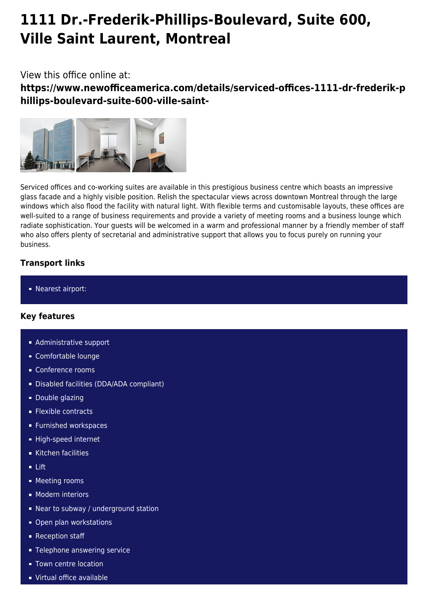# **1111 Dr.-Frederik-Phillips-Boulevard, Suite 600, Ville Saint Laurent, Montreal**

## View this office online at:

**https://www.newofficeamerica.com/details/serviced-offices-1111-dr-frederik-p hillips-boulevard-suite-600-ville-saint-**



Serviced offices and co-working suites are available in this prestigious business centre which boasts an impressive glass facade and a highly visible position. Relish the spectacular views across downtown Montreal through the large windows which also flood the facility with natural light. With flexible terms and customisable layouts, these offices are well-suited to a range of business requirements and provide a variety of meeting rooms and a business lounge which radiate sophistication. Your guests will be welcomed in a warm and professional manner by a friendly member of staff who also offers plenty of secretarial and administrative support that allows you to focus purely on running your business.

## **Transport links**

■ Nearest airport:

#### **Key features**

- **Administrative support**
- Comfortable lounge
- **Conference rooms**
- Disabled facilities (DDA/ADA compliant)
- **Double glazing**
- **Flexible contracts**
- **Furnished workspaces**
- **High-speed internet**
- Kitchen facilities
- Lift
- **Meeting rooms**
- **Modern interiors**
- Near to subway / underground station
- Open plan workstations
- Reception staff
- **Telephone answering service**
- **Town centre location**
- Virtual office available